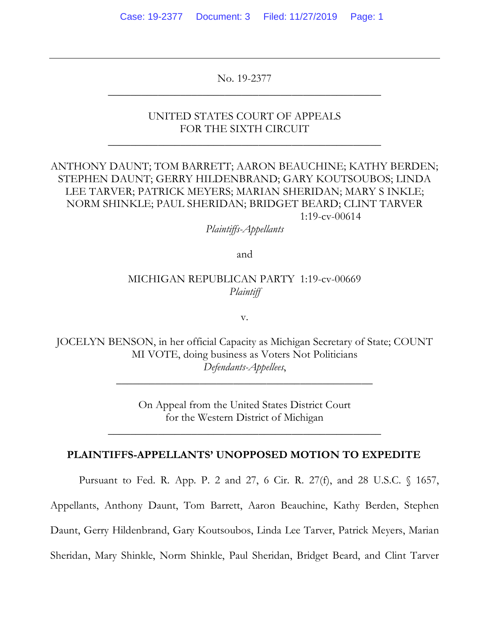No. 19-2377 \_\_\_\_\_\_\_\_\_\_\_\_\_\_\_\_\_\_\_\_\_\_\_\_\_\_\_\_\_\_\_\_\_\_\_\_\_\_\_\_\_\_\_\_\_\_\_\_\_

### UNITED STATES COURT OF APPEALS FOR THE SIXTH CIRCUIT

\_\_\_\_\_\_\_\_\_\_\_\_\_\_\_\_\_\_\_\_\_\_\_\_\_\_\_\_\_\_\_\_\_\_\_\_\_\_\_\_\_\_\_\_\_\_\_\_\_

## ANTHONY DAUNT; TOM BARRETT; AARON BEAUCHINE; KATHY BERDEN; STEPHEN DAUNT; GERRY HILDENBRAND; GARY KOUTSOUBOS; LINDA LEE TARVER; PATRICK MEYERS; MARIAN SHERIDAN; MARY S INKLE; NORM SHINKLE; PAUL SHERIDAN; BRIDGET BEARD; CLINT TARVER 1:19-cv-00614

*Plaintiffs-Appellants*

and

### MICHIGAN REPUBLICAN PARTY 1:19-cv-00669 *Plaintiff*

v.

JOCELYN BENSON, in her official Capacity as Michigan Secretary of State; COUNT MI VOTE, doing business as Voters Not Politicians *Defendants-Appellees*,

\_\_\_\_\_\_\_\_\_\_\_\_\_\_\_\_\_\_\_\_\_\_\_\_\_\_\_\_\_\_\_\_\_\_\_\_\_\_\_\_\_\_\_\_\_\_

On Appeal from the United States District Court for the Western District of Michigan

### **PLAINTIFFS-APPELLANTS' UNOPPOSED MOTION TO EXPEDITE**

\_\_\_\_\_\_\_\_\_\_\_\_\_\_\_\_\_\_\_\_\_\_\_\_\_\_\_\_\_\_\_\_\_\_\_\_\_\_\_\_\_\_\_\_\_\_\_\_\_

Pursuant to Fed. R. App. P. 2 and 27, 6 Cir. R. 27(f), and 28 U.S.C. § 1657,

Appellants, Anthony Daunt, Tom Barrett, Aaron Beauchine, Kathy Berden, Stephen

Daunt, Gerry Hildenbrand, Gary Koutsoubos, Linda Lee Tarver, Patrick Meyers, Marian

Sheridan, Mary Shinkle, Norm Shinkle, Paul Sheridan, Bridget Beard, and Clint Tarver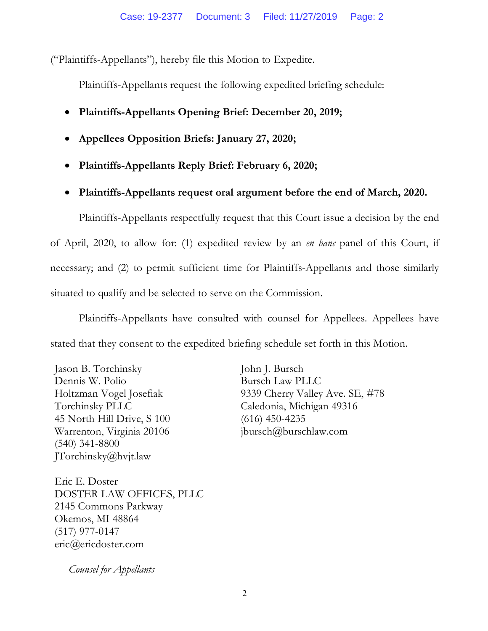("Plaintiffs-Appellants"), hereby file this Motion to Expedite.

Plaintiffs-Appellants request the following expedited briefing schedule:

- **Plaintiffs-Appellants Opening Brief: December 20, 2019;**
- **Appellees Opposition Briefs: January 27, 2020;**
- **Plaintiffs-Appellants Reply Brief: February 6, 2020;**
- **Plaintiffs-Appellants request oral argument before the end of March, 2020.**

Plaintiffs-Appellants respectfully request that this Court issue a decision by the end of April, 2020, to allow for: (1) expedited review by an *en banc* panel of this Court, if necessary; and (2) to permit sufficient time for Plaintiffs-Appellants and those similarly situated to qualify and be selected to serve on the Commission.

Plaintiffs-Appellants have consulted with counsel for Appellees. Appellees have stated that they consent to the expedited briefing schedule set forth in this Motion.

Jason B. Torchinsky Dennis W. Polio Holtzman Vogel Josefiak Torchinsky PLLC 45 North Hill Drive, S 100 Warrenton, Virginia 20106 (540) 341-8800 JTorchinsky@hvjt.law

John J. Bursch Bursch Law PLLC 9339 Cherry Valley Ave. SE, #78 Caledonia, Michigan 49316 (616) 450-4235 jbursch@burschlaw.com

Eric E. Doster DOSTER LAW OFFICES, PLLC 2145 Commons Parkway Okemos, MI 48864 (517) 977-0147 eric@ericdoster.com

 *Counsel for Appellants*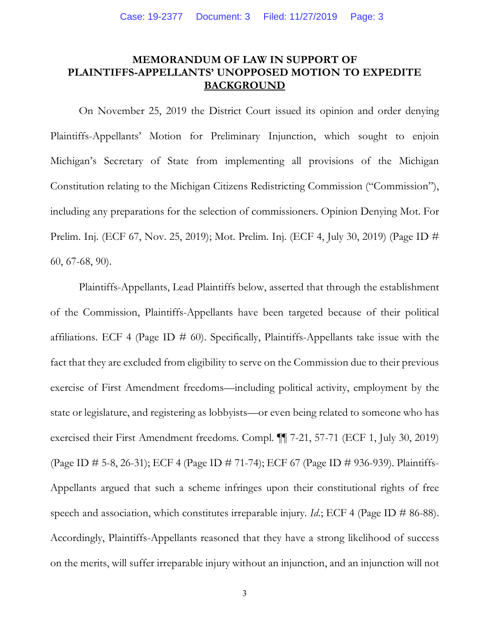## **MEMORANDUM OF LAW IN SUPPORT OF PLAINTIFFS-APPELLANTS' UNOPPOSED MOTION TO EXPEDITE BACKGROUND**

On November 25, 2019 the District Court issued its opinion and order denying Plaintiffs-Appellants' Motion for Preliminary Injunction, which sought to enjoin Michigan's Secretary of State from implementing all provisions of the Michigan Constitution relating to the Michigan Citizens Redistricting Commission ("Commission"), including any preparations for the selection of commissioners. Opinion Denying Mot. For Prelim. Inj. (ECF 67, Nov. 25, 2019); Mot. Prelim. Inj. (ECF 4, July 30, 2019) (Page ID # 60, 67-68, 90).

Plaintiffs-Appellants, Lead Plaintiffs below, asserted that through the establishment of the Commission, Plaintiffs-Appellants have been targeted because of their political affiliations. ECF 4 (Page ID  $\#$  60). Specifically, Plaintiffs-Appellants take issue with the fact that they are excluded from eligibility to serve on the Commission due to their previous exercise of First Amendment freedoms—including political activity, employment by the state or legislature, and registering as lobbyists—or even being related to someone who has exercised their First Amendment freedoms. Compl. ¶¶ 7-21, 57-71 (ECF 1, July 30, 2019) (Page ID # 5-8, 26-31); ECF 4 (Page ID # 71-74); ECF 67 (Page ID # 936-939). Plaintiffs-Appellants argued that such a scheme infringes upon their constitutional rights of free speech and association, which constitutes irreparable injury. *Id*.; ECF 4 (Page ID # 86-88). Accordingly, Plaintiffs-Appellants reasoned that they have a strong likelihood of success on the merits, will suffer irreparable injury without an injunction, and an injunction will not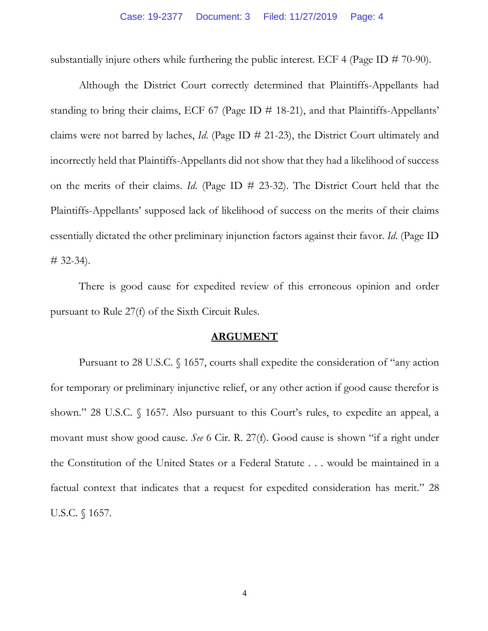substantially injure others while furthering the public interest. ECF 4 (Page ID  $\#$  70-90).

Although the District Court correctly determined that Plaintiffs-Appellants had standing to bring their claims, ECF 67 (Page ID # 18-21), and that Plaintiffs-Appellants' claims were not barred by laches, *Id*. (Page ID # 21-23), the District Court ultimately and incorrectly held that Plaintiffs-Appellants did not show that they had a likelihood of success on the merits of their claims. *Id*. (Page ID # 23-32). The District Court held that the Plaintiffs-Appellants' supposed lack of likelihood of success on the merits of their claims essentially dictated the other preliminary injunction factors against their favor. *Id*. (Page ID  $\#$  32-34).

There is good cause for expedited review of this erroneous opinion and order pursuant to Rule 27(f) of the Sixth Circuit Rules.

#### **ARGUMENT**

Pursuant to 28 U.S.C. § 1657, courts shall expedite the consideration of "any action for temporary or preliminary injunctive relief, or any other action if good cause therefor is shown." 28 U.S.C. § 1657. Also pursuant to this Court's rules, to expedite an appeal, a movant must show good cause. *See* 6 Cir. R. 27(f). Good cause is shown "if a right under the Constitution of the United States or a Federal Statute . . . would be maintained in a factual context that indicates that a request for expedited consideration has merit." 28 U.S.C. § 1657.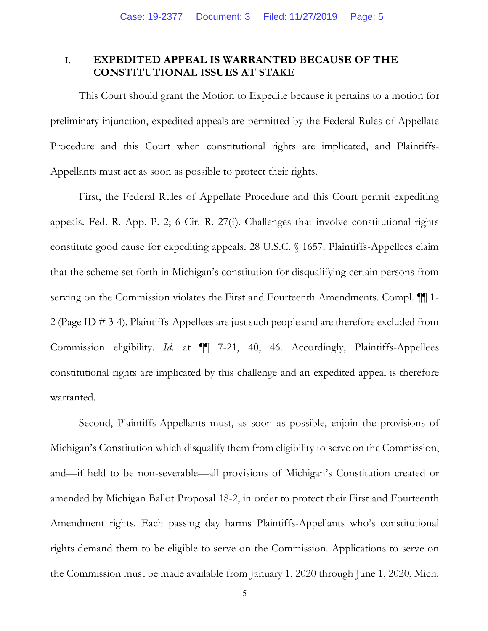### **I. EXPEDITED APPEAL IS WARRANTED BECAUSE OF THE CONSTITUTIONAL ISSUES AT STAKE**

This Court should grant the Motion to Expedite because it pertains to a motion for preliminary injunction, expedited appeals are permitted by the Federal Rules of Appellate Procedure and this Court when constitutional rights are implicated, and Plaintiffs-Appellants must act as soon as possible to protect their rights.

First, the Federal Rules of Appellate Procedure and this Court permit expediting appeals. Fed. R. App. P. 2; 6 Cir. R. 27(f). Challenges that involve constitutional rights constitute good cause for expediting appeals. 28 U.S.C. § 1657. Plaintiffs-Appellees claim that the scheme set forth in Michigan's constitution for disqualifying certain persons from serving on the Commission violates the First and Fourteenth Amendments. Compl.  $\P$  1-2 (Page ID # 3-4). Plaintiffs-Appellees are just such people and are therefore excluded from Commission eligibility. *Id*. at ¶¶ 7-21, 40, 46. Accordingly, Plaintiffs-Appellees constitutional rights are implicated by this challenge and an expedited appeal is therefore warranted.

Second, Plaintiffs-Appellants must, as soon as possible, enjoin the provisions of Michigan's Constitution which disqualify them from eligibility to serve on the Commission, and—if held to be non-severable—all provisions of Michigan's Constitution created or amended by Michigan Ballot Proposal 18-2, in order to protect their First and Fourteenth Amendment rights. Each passing day harms Plaintiffs-Appellants who's constitutional rights demand them to be eligible to serve on the Commission. Applications to serve on the Commission must be made available from January 1, 2020 through June 1, 2020, Mich.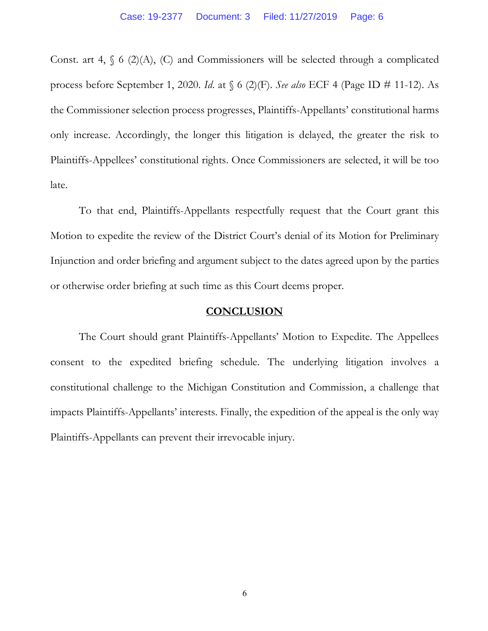Const. art 4,  $\S$  6 (2)(A), (C) and Commissioners will be selected through a complicated process before September 1, 2020. *Id*. at § 6 (2)(F). *See also* ECF 4 (Page ID # 11-12). As the Commissioner selection process progresses, Plaintiffs-Appellants' constitutional harms only increase. Accordingly, the longer this litigation is delayed, the greater the risk to Plaintiffs-Appellees' constitutional rights. Once Commissioners are selected, it will be too late.

To that end, Plaintiffs-Appellants respectfully request that the Court grant this Motion to expedite the review of the District Court's denial of its Motion for Preliminary Injunction and order briefing and argument subject to the dates agreed upon by the parties or otherwise order briefing at such time as this Court deems proper.

#### **CONCLUSION**

The Court should grant Plaintiffs-Appellants' Motion to Expedite. The Appellees consent to the expedited briefing schedule. The underlying litigation involves a constitutional challenge to the Michigan Constitution and Commission, a challenge that impacts Plaintiffs-Appellants' interests. Finally, the expedition of the appeal is the only way Plaintiffs-Appellants can prevent their irrevocable injury.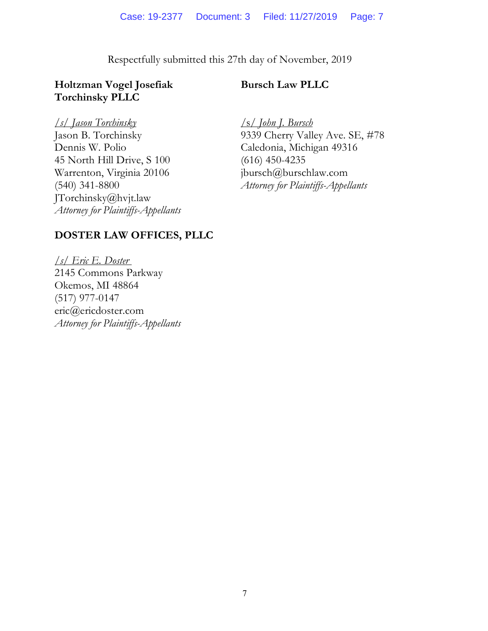Respectfully submitted this 27th day of November, 2019

## **Holtzman Vogel Josefiak Torchinsky PLLC**

## **Bursch Law PLLC**

### */s/ Jason Torchinsky*

Jason B. Torchinsky Dennis W. Polio 45 North Hill Drive, S 100 Warrenton, Virginia 20106 (540) 341-8800 JTorchinsky@hvjt.law *Attorney for Plaintiffs-Appellants*

/s/ *John J. Bursch* 9339 Cherry Valley Ave. SE, #78 Caledonia, Michigan 49316 (616) 450-4235 jbursch@burschlaw.com *Attorney for Plaintiffs-Appellants*

# **DOSTER LAW OFFICES, PLLC**

*/s/ Eric E. Doster* 2145 Commons Parkway Okemos, MI 48864 (517) 977-0147 eric@ericdoster.com *Attorney for Plaintiffs-Appellants*